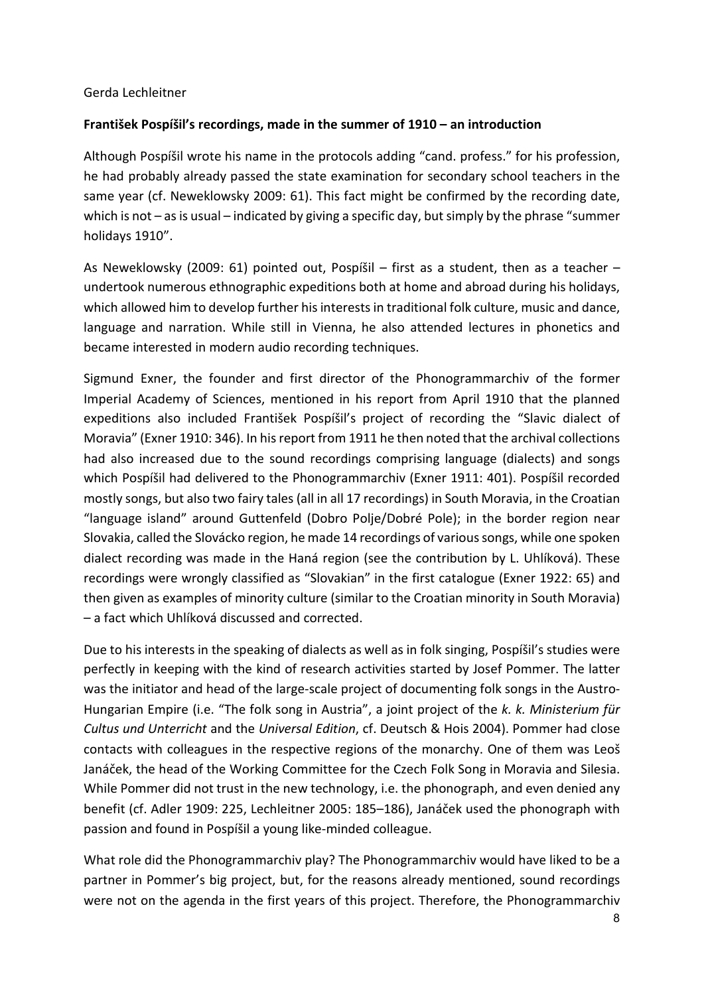## Gerda Lechleitner

## **František Pospíšil's recordings, made in the summer of 1910 – an introduction**

Although Pospíšil wrote his name in the protocols adding "cand. profess." for his profession, he had probably already passed the state examination for secondary school teachers in the same year (cf. Neweklowsky 2009: 61). This fact might be confirmed by the recording date, which is not – as is usual – indicated by giving a specific day, but simply by the phrase "summer holidays 1910".

As Neweklowsky (2009: 61) pointed out, Pospíšil – first as a student, then as a teacher – undertook numerous ethnographic expeditions both at home and abroad during his holidays, which allowed him to develop further his interests in traditional folk culture, music and dance, language and narration. While still in Vienna, he also attended lectures in phonetics and became interested in modern audio recording techniques.

Sigmund Exner, the founder and first director of the Phonogrammarchiv of the former Imperial Academy of Sciences, mentioned in his report from April 1910 that the planned expeditions also included František Pospíšil's project of recording the "Slavic dialect of Moravia" (Exner 1910: 346). In his report from 1911 he then noted that the archival collections had also increased due to the sound recordings comprising language (dialects) and songs which Pospíšil had delivered to the Phonogrammarchiv (Exner 1911: 401). Pospíšil recorded mostly songs, but also two fairy tales (all in all 17 recordings) in South Moravia, in the Croatian "language island" around Guttenfeld (Dobro Polje/Dobré Pole); in the border region near Slovakia, called the Slovácko region, he made 14 recordings of various songs, while one spoken dialect recording was made in the Haná region (see the contribution by L. Uhlíková). These recordings were wrongly classified as "Slovakian" in the first catalogue (Exner 1922: 65) and then given as examples of minority culture (similar to the Croatian minority in South Moravia) – a fact which Uhlíková discussed and corrected.

Due to his interests in the speaking of dialects as well as in folk singing, Pospíšil's studies were perfectly in keeping with the kind of research activities started by Josef Pommer. The latter was the initiator and head of the large-scale project of documenting folk songs in the Austro-Hungarian Empire (i.e. "The folk song in Austria", a joint project of the *k. k. Ministerium für Cultus und Unterricht* and the *Universal Edition*, cf. Deutsch & Hois 2004). Pommer had close contacts with colleagues in the respective regions of the monarchy. One of them was Leoš Janáček, the head of the Working Committee for the Czech Folk Song in Moravia and Silesia. While Pommer did not trust in the new technology, i.e. the phonograph, and even denied any benefit (cf. Adler 1909: 225, Lechleitner 2005: 185–186), Janáček used the phonograph with passion and found in Pospíšil a young like-minded colleague.

What role did the Phonogrammarchiv play? The Phonogrammarchiv would have liked to be a partner in Pommer's big project, but, for the reasons already mentioned, sound recordings were not on the agenda in the first years of this project. Therefore, the Phonogrammarchiv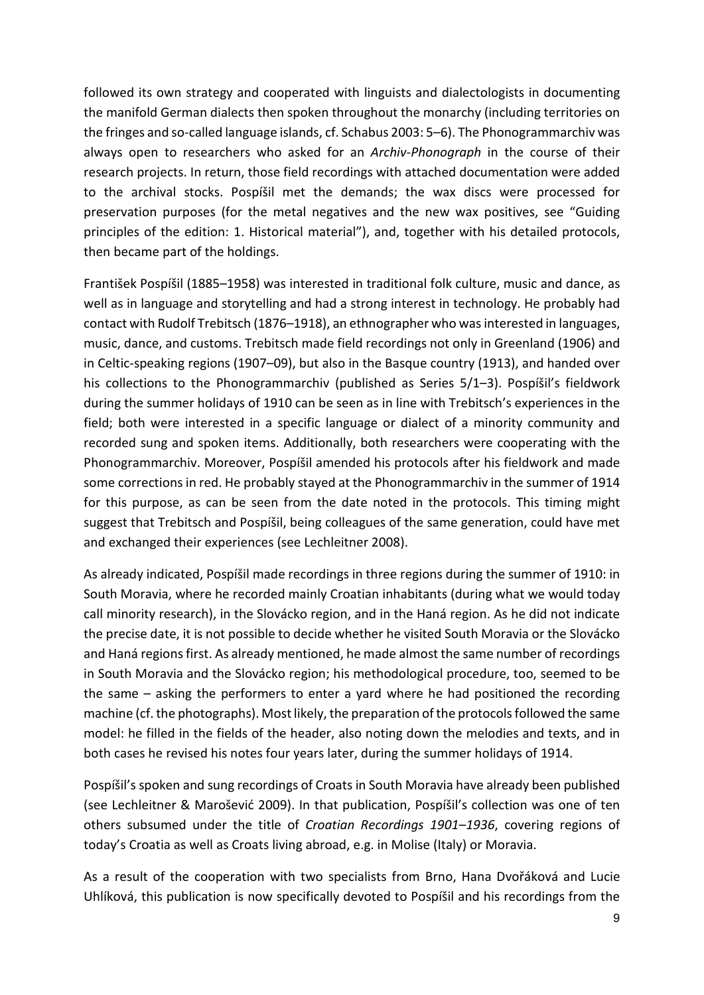followed its own strategy and cooperated with linguists and dialectologists in documenting the manifold German dialects then spoken throughout the monarchy (including territories on the fringes and so-called language islands, cf. Schabus 2003: 5–6). The Phonogrammarchiv was always open to researchers who asked for an *Archiv-Phonograph* in the course of their research projects. In return, those field recordings with attached documentation were added to the archival stocks. Pospíšil met the demands; the wax discs were processed for preservation purposes (for the metal negatives and the new wax positives, see "Guiding principles of the edition: 1. Historical material"), and, together with his detailed protocols, then became part of the holdings.

František Pospíšil (1885–1958) was interested in traditional folk culture, music and dance, as well as in language and storytelling and had a strong interest in technology. He probably had contact with Rudolf Trebitsch (1876–1918), an ethnographer who was interested in languages, music, dance, and customs. Trebitsch made field recordings not only in Greenland (1906) and in Celtic-speaking regions (1907–09), but also in the Basque country (1913), and handed over his collections to the Phonogrammarchiv (published as Series 5/1–3). Pospíšil's fieldwork during the summer holidays of 1910 can be seen as in line with Trebitsch's experiences in the field; both were interested in a specific language or dialect of a minority community and recorded sung and spoken items. Additionally, both researchers were cooperating with the Phonogrammarchiv. Moreover, Pospíšil amended his protocols after his fieldwork and made some corrections in red. He probably stayed at the Phonogrammarchiv in the summer of 1914 for this purpose, as can be seen from the date noted in the protocols. This timing might suggest that Trebitsch and Pospíšil, being colleagues of the same generation, could have met and exchanged their experiences (see Lechleitner 2008).

As already indicated, Pospíšil made recordings in three regions during the summer of 1910: in South Moravia, where he recorded mainly Croatian inhabitants (during what we would today call minority research), in the Slovácko region, and in the Haná region. As he did not indicate the precise date, it is not possible to decide whether he visited South Moravia or the Slovácko and Haná regions first. As already mentioned, he made almost the same number of recordings in South Moravia and the Slovácko region; his methodological procedure, too, seemed to be the same – asking the performers to enter a yard where he had positioned the recording machine (cf. the photographs). Most likely, the preparation of the protocols followed the same model: he filled in the fields of the header, also noting down the melodies and texts, and in both cases he revised his notes four years later, during the summer holidays of 1914.

Pospíšil's spoken and sung recordings of Croats in South Moravia have already been published (see Lechleitner & Marošević 2009). In that publication, Pospíšil's collection was one of ten others subsumed under the title of *Croatian Recordings 1901–1936*, covering regions of today's Croatia as well as Croats living abroad, e.g. in Molise (Italy) or Moravia.

As a result of the cooperation with two specialists from Brno, Hana Dvořáková and Lucie Uhlíková, this publication is now specifically devoted to Pospíšil and his recordings from the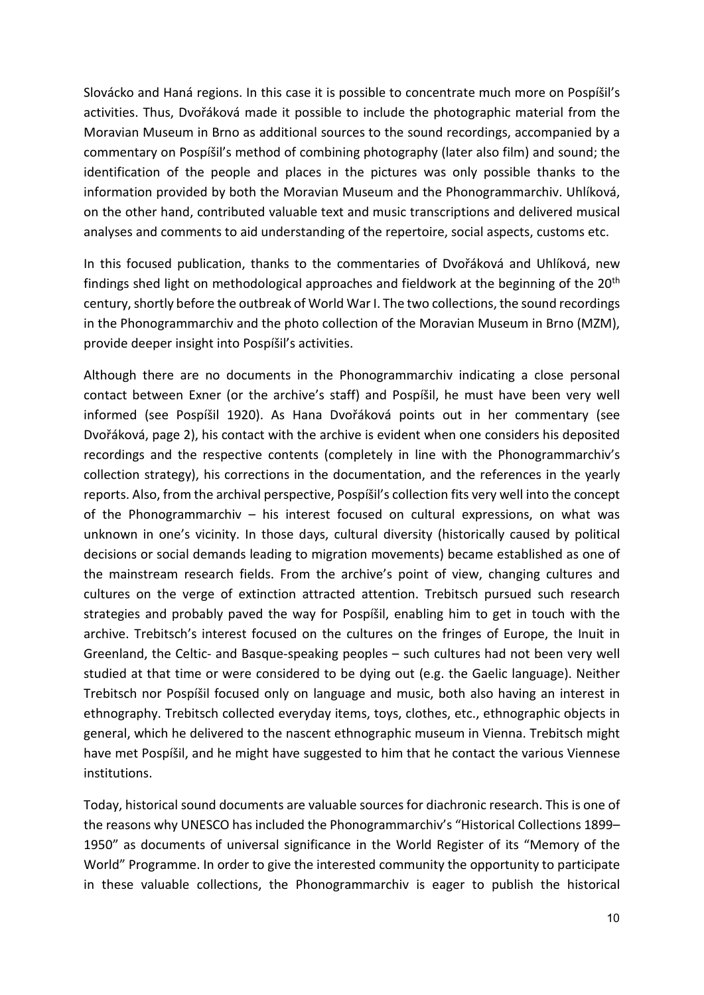Slovácko and Haná regions. In this case it is possible to concentrate much more on Pospíšil's activities. Thus, Dvořáková made it possible to include the photographic material from the Moravian Museum in Brno as additional sources to the sound recordings, accompanied by a commentary on Pospíšil's method of combining photography (later also film) and sound; the identification of the people and places in the pictures was only possible thanks to the information provided by both the Moravian Museum and the Phonogrammarchiv. Uhlíková, on the other hand, contributed valuable text and music transcriptions and delivered musical analyses and comments to aid understanding of the repertoire, social aspects, customs etc.

In this focused publication, thanks to the commentaries of Dvořáková and Uhlíková, new findings shed light on methodological approaches and fieldwork at the beginning of the  $20<sup>th</sup>$ century, shortly before the outbreak of World War I. The two collections, the sound recordings in the Phonogrammarchiv and the photo collection of the Moravian Museum in Brno (MZM), provide deeper insight into Pospíšil's activities.

Although there are no documents in the Phonogrammarchiv indicating a close personal contact between Exner (or the archive's staff) and Pospíšil, he must have been very well informed (see Pospíšil 1920). As Hana Dvořáková points out in her commentary (see Dvořáková, page 2), his contact with the archive is evident when one considers his deposited recordings and the respective contents (completely in line with the Phonogrammarchiv's collection strategy), his corrections in the documentation, and the references in the yearly reports. Also, from the archival perspective, Pospíšil's collection fits very well into the concept of the Phonogrammarchiv – his interest focused on cultural expressions, on what was unknown in one's vicinity. In those days, cultural diversity (historically caused by political decisions or social demands leading to migration movements) became established as one of the mainstream research fields. From the archive's point of view, changing cultures and cultures on the verge of extinction attracted attention. Trebitsch pursued such research strategies and probably paved the way for Pospíšil, enabling him to get in touch with the archive. Trebitsch's interest focused on the cultures on the fringes of Europe, the Inuit in Greenland, the Celtic- and Basque-speaking peoples – such cultures had not been very well studied at that time or were considered to be dying out (e.g. the Gaelic language). Neither Trebitsch nor Pospíšil focused only on language and music, both also having an interest in ethnography. Trebitsch collected everyday items, toys, clothes, etc., ethnographic objects in general, which he delivered to the nascent ethnographic museum in Vienna. Trebitsch might have met Pospíšil, and he might have suggested to him that he contact the various Viennese institutions.

Today, historical sound documents are valuable sources for diachronic research. This is one of the reasons why UNESCO has included the Phonogrammarchiv's "Historical Collections 1899– 1950" as documents of universal significance in the World Register of its "Memory of the World" Programme. In order to give the interested community the opportunity to participate in these valuable collections, the Phonogrammarchiv is eager to publish the historical